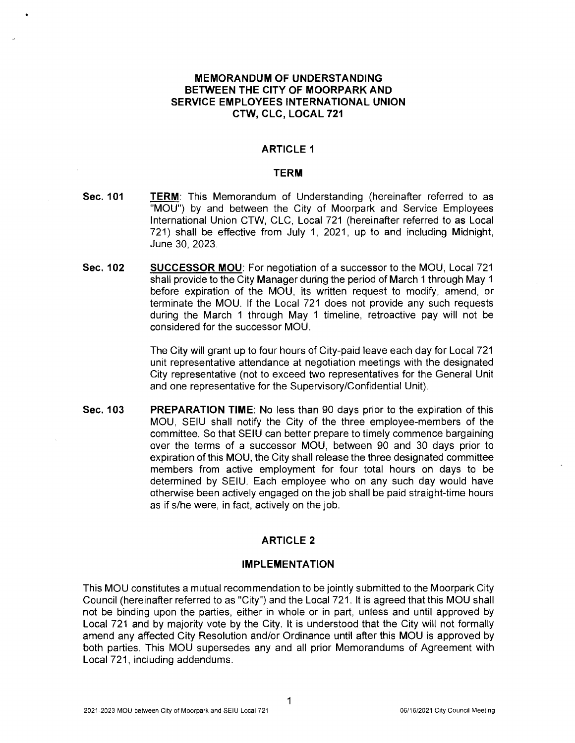## **MEMORANDUM OF UNDERSTANDING BETWEEN THE CITY OF MOORPARK AND SERVICE EMPLOYEES INTERNATIONAL UNION CTW, CLC, LOCAL 721**

### **ARTICLE 1**

#### **TERM**

- **Sec. 101 TERM:** This Memorandum of Understanding (hereinafter referred to as "MOU") by and between the City of Moorpark and Service Employees International Union CTW, CLC, Local 721 (hereinafter referred to as Local 721) shall be effective from July 1, 2021, up to and including Midnight, June 30, 2023.
- **Sec. 102 SUCCESSOR MOU:** For negotiation of a successor to the MOU, Local 721 shall provide to the City Manager during the period of March 1 through May 1 before expiration of the MOU, its written request to modify, amend, or terminate the MOU. If the Local 721 does not provide any such requests during the March 1 through May 1 timeline, retroactive pay will not be considered for the successor MOU.

The City will grant up to four hours of City-paid leave each day for Local 721 unit representative attendance at negotiation meetings with the designated City representative (not to exceed two representatives for the General Unit and one representative for the Supervisory/Confidential Unit).

**Sec. 103 PREPARATION TIME:** No less than 90 days prior to the expiration of this MOU, SEIU shall notify the City of the three employee-members of the committee. So that SEIU can better prepare to timely commence bargaining over the terms of a successor MOU, between 90 and 30 days prior to expiration of this MOU, the City shall release the three designated committee members from active employment for four total hours on days to be determined by SEIU. Each employee who on any such day would have otherwise been actively engaged on the job shall be paid straight-time hours as ifs/he were, in fact, actively on the job.

## **ARTICLE 2**

#### **IMPLEMENTATION**

This MOU constitutes a mutual recommendation to be jointly submitted to the Moorpark City Council (hereinafter referred to as "City") and the Local 721. It is agreed that this MOU shall not be binding upon the parties, either in whole or in part, unless and until approved by Local 721 and by majority vote by the City. It is understood that the City will not formally amend any affected City Resolution and/or Ordinance until after this MOU is approved by both parties. This MOU supersedes any and all prior Memorandums of Agreement with Local 721, including addendums.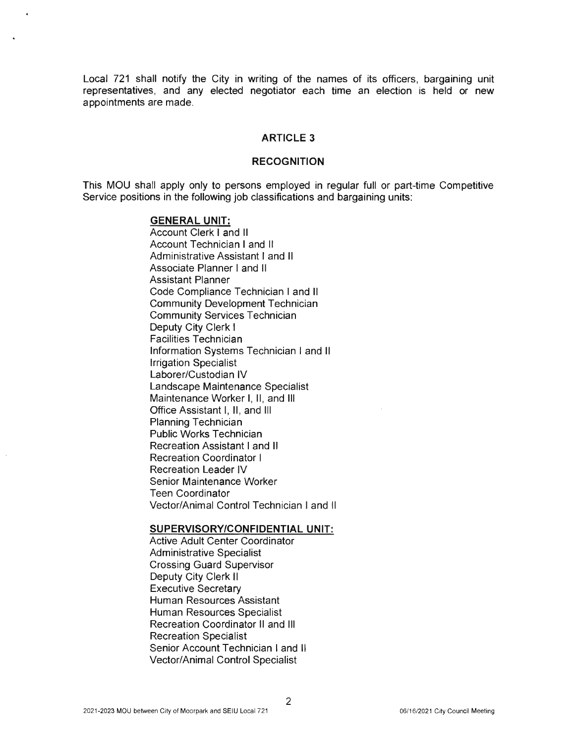Local 721 shall notify the City in writing of the names of its officers, bargaining unit representatives, and any elected negotiator each time an election is held or new appointments are made.

#### **ARTICLE 3**

#### **RECOGNITION**

This MOU shall apply only to persons employed in regular full or part-time Competitive Service positions in the following job classifications and bargaining units:

## **GENERAL UNIT:**

Account Clerk I and II Account Technician I and II Administrative Assistant I and II Associate Planner I and II Assistant Planner Code Compliance Technician I and II Community Development Technician Community Services Technician Deputy City Clerk I Facilities Technician Information Systems Technician I and II Irrigation Specialist Laborer/Custodian IV Landscape Maintenance Specialist Maintenance Worker I, II, and III Office Assistant I, II, and III Planning Technician Public Works Technician Recreation Assistant I and II Recreation Coordinator I Recreation Leader IV Senior Maintenance Worker Teen Coordinator Vector/Animal Control Technician I and II

#### **SUPERVISORY/CONFIDENTIAL UNIT:**

Active Adult Center Coordinator Administrative Specialist Crossing Guard Supervisor Deputy City Clerk <sup>11</sup> Executive Secretary Human Resources Assistant Human Resources Specialist Recreation Coordinator II and Ill Recreation Specialist Senior Account Technician I and II **Vector/Animal Control Specialist**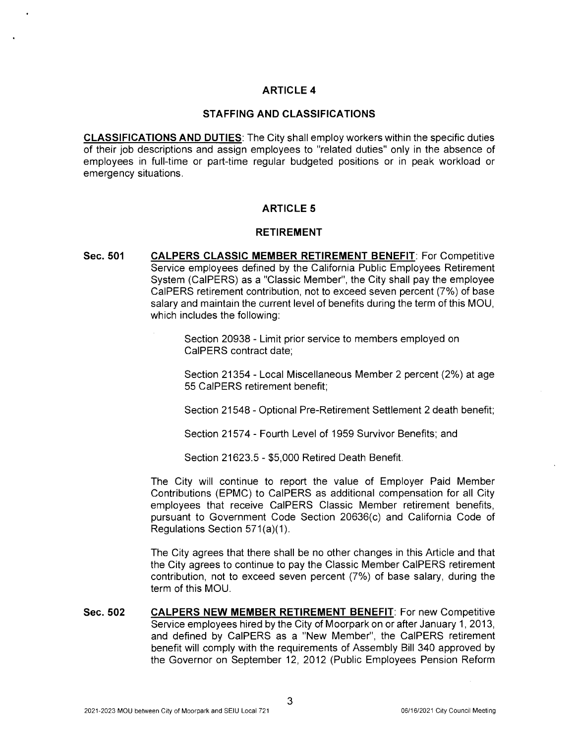# **ARTICLE 4**

#### **STAFFING AND CLASSIFICATIONS**

**CLASSIFICATIONS AND DUTIES:** The City shall employ workers within the specific duties of their job descriptions and assign employees to "related duties" only in the absence of employees in full-time or part-time regular budgeted positions or in peak workload or emergency situations.

# **ARTICLE 5**

#### **RETIREMENT**

**Sec. 501 CALPERS CLASSIC MEMBER RETIREMENT BENEFIT:** For Competitive Service employees defined by the California Public Employees Retirement System (CalPERS) as a "Classic Member", the City shall pay the employee CalPERS retirement contribution, not to exceed seven percent (7%) of base salary and maintain the current level of benefits during the term of this MOU, which includes the following:

> Section 20938 - Limit prior service to members employed on CalPERS contract date;

Section 21354 - Local Miscellaneous Member 2 percent (2%) at age 55 CalPERS retirement benefit;

Section 21548 - Optional Pre-Retirement Settlement 2 death benefit;

Section 21574 - Fourth Level of 1959 Survivor Benefits; and

Section 21623.5 - \$5,000 Retired Death Benefit.

The City will continue to report the value of Employer Paid Member Contributions (EPMC) to CalPERS as additional compensation for all City employees that receive CalPERS Classic Member retirement benefits, pursuant to Government Code Section 20636(c) and California Code of Regulations Section 571(a)(1).

The City agrees that there shall be no other changes in this Article and that the City agrees to continue to pay the Classic Member CalPERS retirement contribution, not to exceed seven percent (7%) of base salary, during the term of this MOU.

**Sec.502 CALPERS NEW MEMBER RETIREMENT BENEFIT:** For new Competitive Service employees hired by the City of Moorpark on or after January 1, 2013, and defined by CalPERS as a **"New** Member", the CalPERS retirement benefit will comply with the requirements of Assembly Bill 340 approved by the Governor on September 12, 2012 (Public Employees Pension Reform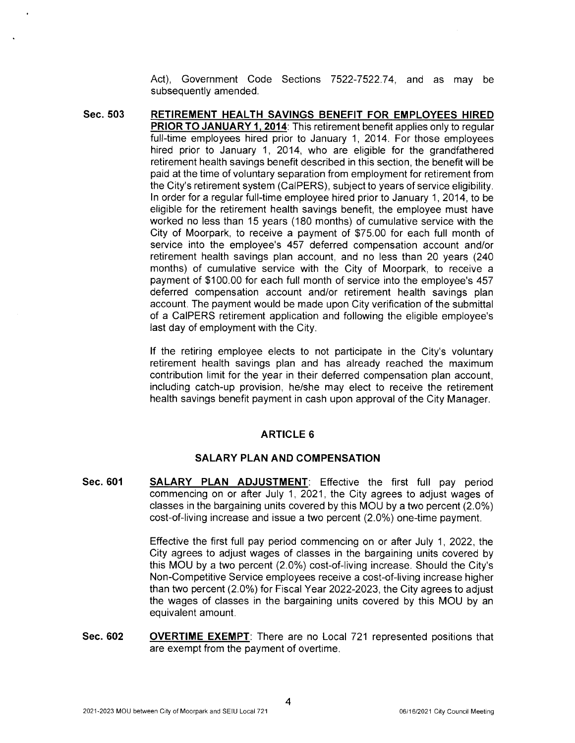Act), Government Code Sections 7522-7522.74, and as may be subsequently amended.

**Sec.503 RETIREMENT HEALTH SAVINGS BENEFIT FOR EMPLOYEES HIRED PRIOR TO JANUARY 1, 2014:** This retirement benefit applies only to regular full-time employees hired prior to January 1, 2014. For those employees hired prior to January 1, 2014, who are eligible for the grandfathered retirement health savings benefit described in this section, the benefit will be paid at the time of voluntary separation from employment for retirement from the City's retirement system (CalPERS), subject to years of service eligibility. In order for a regular full-time employee hired prior to January 1, 2014, to be eligible for the retirement health savings benefit, the employee must have worked no less than 15 years (180 months) of cumulative service with the City of Moorpark, to receive a payment of \$75.00 for each full month of service into the employee's 457 deferred compensation account and/or retirement health savings plan account, and no less than 20 years (240 months) of cumulative service with the City of Moorpark, to receive a payment of \$100.00 for each full month of service into the employee's 457 deferred compensation account and/or retirement health savings plan account. The payment would be made upon City verification of the submittal of a CalPERS retirement application and following the eligible employee's last day of employment with the City.

> If the retiring employee elects to not participate in the City's voluntary retirement health savings plan and has already reached the maximum contribution limit for the year in their deferred compensation plan account, including catch-up provision, he/she may elect to receive the retirement health savings benefit payment in cash upon approval of the City Manager.

## **ARTICLE 6**

## **SALARY PLAN AND COMPENSATION**

**Sec. 601 SALARY PLAN ADJUSTMENT:** Effective the first full pay period commencing on or after July 1, 2021, the City agrees to adjust wages of classes in the bargaining units covered by this MOU by a two percent (2.0%) cost-of-living increase and issue a two percent (2.0%) one-time payment.

> Effective the first full pay period commencing on or after July 1, 2022, the City agrees to adjust wages of classes in the bargaining units covered by this MOU by a two percent (2.0%) cost-of-living increase. Should the City's Non-Competitive Service employees receive a cost-of-living increase higher than two percent (2.0%) for Fiscal Year 2022-2023, the City agrees to adjust the wages of classes in the bargaining units covered by this MOU by an equivalent amount.

**Sec.602 OVERTIME EXEMPT:** There are no Local 721 represented positions that are exempt from the payment of overtime.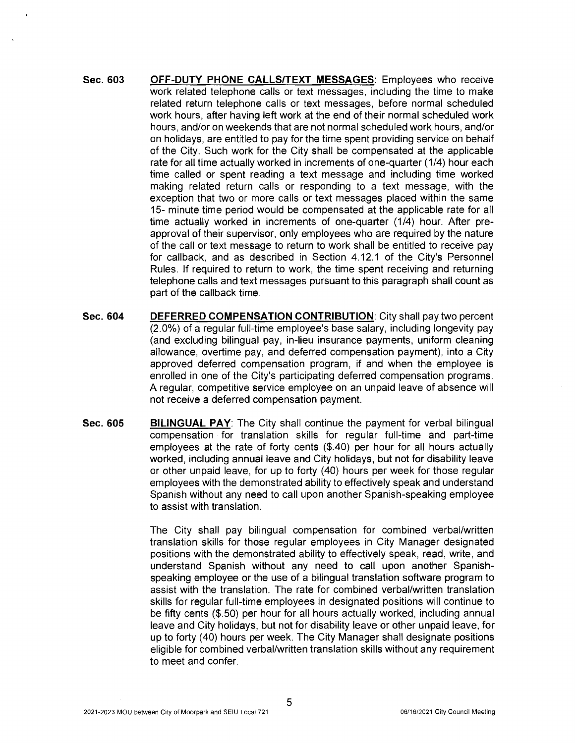- **Sec. 603 OFF-DUTY PHONE CALLS/TEXT MESSAGES:** Employees who receive work related telephone calls or text messages, including the time to make related return telephone calls or text messages, before normal scheduled work hours, after having left work at the end of their normal scheduled work hours, and/or on weekends that are not normal scheduled work hours, and/or on holidays, are entitled to pay for the time spent providing service on behalf of the City. Such work for the City shall be compensated at the applicable rate for all time actually worked in increments of one-quarter (1/4) hour each time called or spent reading a text message and including time worked making related return calls or responding to a text message, with the exception that two or more calls or text messages placed within the same 15- minute time period would be compensated at the applicable rate for all time actually worked in increments of one-quarter (1/4) hour. After preapproval of their supervisor, only employees who are required by the nature of the call or text message to return to work shall be entitled to receive pay for callback, and as described in Section 4.12.1 of the City's Personnel Rules. If required to return to work, the time spent receiving and returning telephone calls and text messages pursuant to this paragraph shall count as part of the callback time.
- **Sec.604 DEFERRED COMPENSATION CONTRIBUTION:** City shall pay two percent (2.0%) of a regular full-time employee's base salary, including longevity pay (and excluding bilingual pay, in-lieu insurance payments, uniform cleaning allowance, overtime pay, and deferred compensation payment), into a City approved deferred compensation program, if and when the employee is enrolled in one of the City's participating deferred compensation programs. A regular, competitive service employee on an unpaid leave of absence will not receive a deferred compensation payment.
- **Sec.GOS BILINGUAL PAY:** The City shall continue the payment for verbal bilingual compensation for translation skills for regular full-time and part-time employees at the rate of forty cents (\$.40) per hour for all hours actually worked, including annual leave and City holidays, but not for disability leave or other unpaid leave, for up to forty (40) hours per week for those regular employees with the demonstrated ability to effectively speak and understand Spanish without any need to call upon another Spanish-speaking employee to assist with translation.

The City shall pay bilingual compensation for combined verbal/written translation skills for those regular employees in City Manager designated positions with the demonstrated ability to effectively speak, read, write, and understand Spanish without any need to call upon another Spanishspeaking employee or the use of a bilingual translation software program to assist with the translation. The rate for combined verbal/written translation skills for regular full-time employees in designated positions will continue to be fifty cents (\$.50) per hour for all hours actually worked, including annual leave and City holidays, but not for disability leave or other unpaid leave, for up to forty (40) hours per week. The City Manager shall designate positions eligible for combined verbal/written translation skills without any requirement to meet and confer.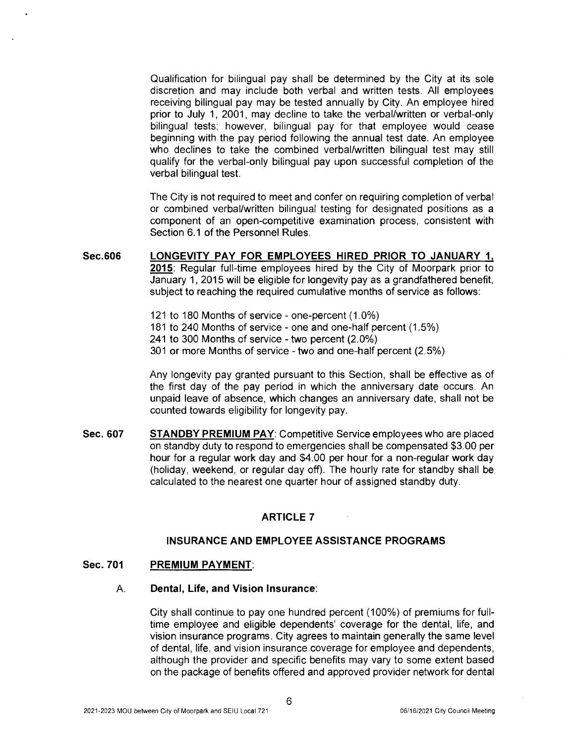Qualification for bilingual pay shall be determined by the City at its sole discretion and may include both verbal and written tests. All employees receiving bilingual pay may be tested annually by City. An employee hired prior to July 1, 2001, may decline to take the verbal/written or verbal-only bilingual tests; however, bilingual pay for that employee would cease beginning with the pay period following the annual test date. An employee who declines to take the combined verbal/written bilingual test may still qualify for the verbal-only bilingual pay upon successful completion of the verbal bilingual test.

The City is not required to meet and confer on requiring completion of verbal or combined verbal/written bilingual testing for designated positions as a component of an open-competitive examination process, consistent with Section 6.1 of the Personnel Rules.

#### **Sec.606 LONGEVITY PAY FOR EMPLOYEES HIRED PRIOR TO JANUARY 1, 2015:** Regular full-time employees hired by the City of Moorpark prior to January 1, 2015 will be eligible for longevity pay as a grandfathered benefit, subject to reaching the required cumulative months of service as follows:

- 121 to 180 Months of service one-percent (1.0%)
- 181 to 240 Months of service one and one-half percent (1.5%)
- 241 to 300 Months of service two percent (2.0%)
- 301 or more Months of service two and one-half percent (2.5%)

Any longevity pay granted pursuant to this Section, shall be effective as of the first day of the pay period in which the anniversary date occurs. An unpaid leave of absence, which changes an anniversary date, shall not be counted towards eligibility for longevity pay.

**Sec.607 STANDBY PREMIUM PAY:** Competitive Service employees who are placed on standby duty to respond to emergencies shall be compensated \$3.00 per hour for a regular work day and \$4.00 per hour for a non-regular work day (holiday, weekend, or regular day off). The hourly rate for standby shall be calculated to the nearest one quarter hour of assigned standby duty.

## **ARTICLE 7**

#### **INSURANCE AND EMPLOYEE ASSISTANCE PROGRAMS**

#### **Sec. 701 PREMIUM PAYMENT:**

#### A. **Dental, Life, and Vision Insurance:**

City shall continue to pay one hundred percent (100%) of premiums for fulltime employee and eligible dependents' coverage for the dental, life, and vision insurance programs . City agrees to maintain generally the same level of dental, life, and vision insurance coverage for employee and dependents, although the provider and specific benefits may vary to some extent based on the package of benefits offered and approved provider network for dental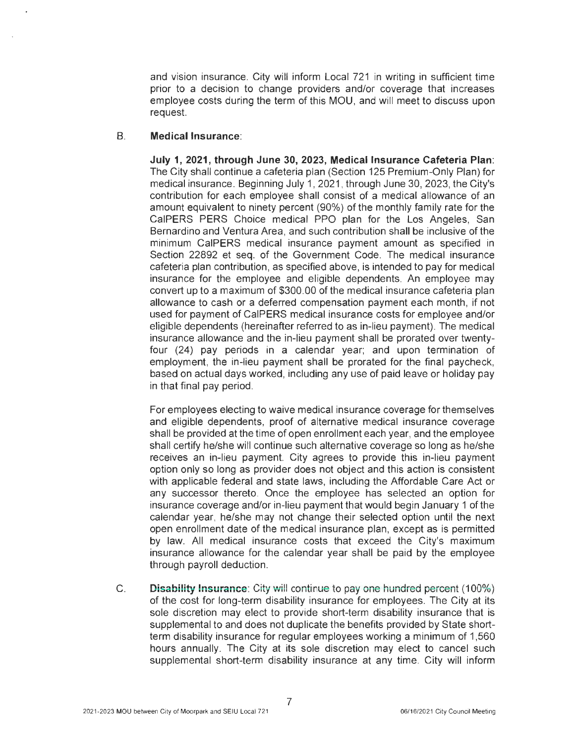and vision insurance. City will inform Local 721 in writing in sufficient time prior to a decision to change providers and/or coverage that increases employee costs during the term of this MOU, and will meet to discuss upon request.

### B. **Medical Insurance:**

**July 1, 2021, through June 30, 2023, Medical Insurance Cafeteria Plan:**  The City shall continue a cafeteria plan (Section 125 Premium-Only Plan) for medical insurance. Beginning July 1, 2021 , through June 30, 2023, the City's contribution for each employee shall consist of a medical allowance of an amount equivalent to ninety percent (90%) of the monthly family rate for the CalPERS PERS Choice medical PPO plan for the Los Angeles, San Bernardino and Ventura Area, and such contribution shall be inclusive of the minimum CalPERS medical insurance payment amount as specified in Section 22892 et seq. of the Government Code. The medical insurance cafeteria plan contribution, as specified above, is intended to pay for medical insurance for the employee and eligible dependents. An employee may convert up to a maximum of \$300.00 of the medical insurance cafeteria plan allowance to cash or a deferred compensation payment each month, if not used for payment of CalPERS medical insurance costs for employee and/or eligible dependents (hereinafter referred to as in-lieu payment). The medical insurance allowance and the in-lieu payment shall be prorated over twentyfour (24) pay periods in a calendar year; and upon termination of employment, the in-lieu payment shall be prorated for the final paycheck, based on actual days worked, including any use of paid leave or holiday pay in that final pay period.

For employees electing to waive medical insurance coverage for themselves and eligible dependents, proof of alternative medical insurance coverage shall be provided at the time of open enrollment each year, and the employee shall certify he/she will continue such alternative coverage so long as he/she receives an in-lieu payment. City agrees to provide this in-lieu payment option only so long as provider does not object and this action is consistent with applicable federal and state laws, including the Affordable Care Act or any successor thereto. Once the employee has selected an option for insurance coverage and/or in-lieu payment that would begin January 1 of the calendar year, he/she may not change their selected option until the next open enrollment date of the medical insurance plan, except as is permitted by law. All medical insurance costs that exceed the City's maximum insurance allowance for the calendar year shall be paid by the employee through payroll deduction.

C. **Disability Insurance:** City will continue to pay one hundred percent (100%) of the cost for long-term disability insurance for employees. The City at its sole discretion may elect to provide short-term disability insurance that is supplemental to and does not duplicate the benefits provided by State shortterm disability insurance for regular employees working a minimum of 1,560 hours annually. The City at its sole discretion may elect to cancel such supplemental short-term disability insurance at any time. City will inform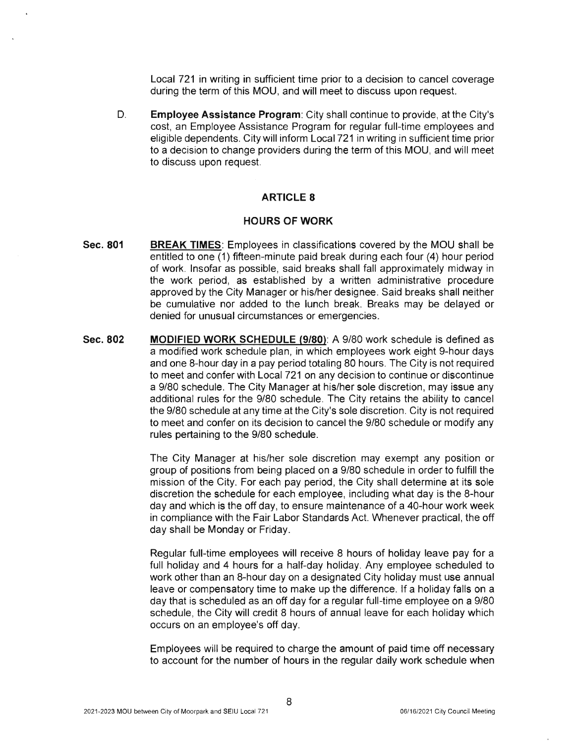Local 721 in writing in sufficient time prior to a decision to cancel coverage during the term of this MOU, and will meet to discuss upon request.

D. **Employee Assistance Program:** City shall continue to provide, at the City's cost, an Employee Assistance Program for regular full-time employees and eligible dependents. City will inform Local 721 in writing in sufficient time prior to a decision to change providers during the term of this MOU, and will meet to discuss upon request.

# **ARTICLE 8**

#### **HOURS OF WORK**

- **Sec. 801 BREAK TIMES:** Employees in classifications covered by the MOU shall be entitled to one (1) fifteen-minute paid break during each four (4) hour period of work. Insofar as possible, said breaks shall fall approximately midway in the work period, as established by a written administrative procedure approved by the City Manager or his/her designee. Said breaks shall neither be cumulative nor added to the lunch break. Breaks may be delayed or denied for unusual circumstances or emergencies.
- **Sec.802 MODIFIED WORK SCHEDULE (9/80):** A 9/80 work schedule is defined as a modified work schedule plan, in which employees work eight 9-hour days and one 8-hour day in a pay period totaling 80 hours. The City is not required to meet and confer with Local 721 on any decision to continue or discontinue a 9/80 schedule. The City Manager at his/her sole discretion, may issue any additional rules for the 9/80 schedule. The City retains the ability to cancel the 9/80 schedule at any time at the City's sole discretion. City is not required to meet and confer on its decision to cancel the 9/80 schedule or modify any rules pertaining to the 9/80 schedule.

The City Manager at his/her sole discretion may exempt any position or group of positions from being placed on a 9/80 schedule in order to fulfill the mission of the City. For each pay period, the City shall determine at its sole discretion the schedule for each employee, including what day is the 8-hour day and which is the off day, to ensure maintenance of a 40-hour work week in compliance with the Fair Labor Standards Act. Whenever practical, the off day shall be Monday or Friday.

Regular full-time employees will receive 8 hours of holiday leave pay for a full holiday and 4 hours for a half-day holiday. Any employee scheduled to work other than an 8-hour day on a designated City holiday must use annual leave or compensatory time to make up the difference. If a holiday falls on a day that is scheduled as an off day for a regular full-time employee on a 9/80 schedule, the City will credit 8 hours of annual leave for each holiday which occurs on an employee's off day.

Employees will be required to charge the amount of paid time off necessary to account for the number of hours in the regular daily work schedule when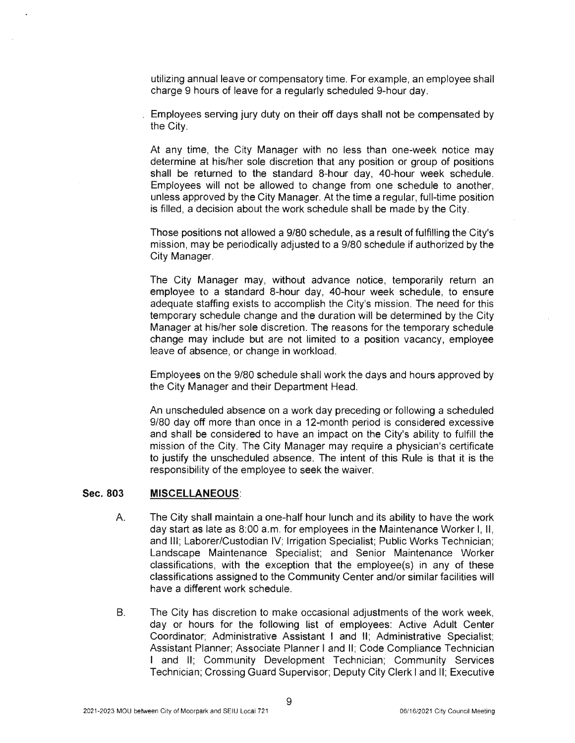utilizing annual leave or compensatory time. For example, an employee shall charge 9 hours of leave for a regularly scheduled 9-hour day.

Employees serving jury duty on their off days shall not be compensated by the City.

At any time, the City Manager with no less than one-week notice may determine at his/her sole discretion that any position or group of positions shall be returned to the standard 8-hour day, 40-hour week schedule. Employees will not be allowed to change from one schedule to another, unless approved by the City Manager. At the time a regular, full-time position is filled, a decision about the work schedule shall be made by the City.

Those positions not allowed a 9/80 schedule, as a result of fulfilling the City's mission, may be periodically adjusted to a 9/80 schedule if authorized by the City Manager.

The City Manager may, without advance notice, temporarily return an employee to a standard 8-hour day, 40-hour week schedule, to ensure adequate staffing exists to accomplish the City's mission. The need for this temporary schedule change and the duration will be determined by the City Manager at his/her sole discretion. The reasons for the temporary schedule change may include but are not limited to a position vacancy, employee leave of absence, or change in workload.

Employees on the 9/80 schedule shall work the days and hours approved by the City Manager and their Department Head.

An unscheduled absence on a work day preceding or following a scheduled 9/80 day off more than once in a 12-month period is considered excessive and shall be considered to have an impact on the City's ability to fulfill the mission of the City. The City Manager may require a physician's certificate to justify the unscheduled absence. The intent of this Rule is that it is the responsibility of the employee to seek the waiver.

#### **Sec. 803 MISCELLANEOUS:**

- A. The City shall maintain a one-half hour lunch and its ability to have the work day start as late as 8:00 a.m. for employees in the Maintenance Worker I, II, and Ill; Laborer/Custodian IV; Irrigation Specialist; Public Works Technician; Landscape Maintenance Specialist; and Senior Maintenance Worker classifications , with the exception that the employee(s) in any of these classifications assigned to the Community Center and/or similar facilities will have a different work schedule.
- B. The City has discretion to make occasional adjustments of the work week, day or hours for the following list of employees: Active Adult Center Coordinator; Administrative Assistant I and II; Administrative Specialist; Assistant Planner; Associate Planner I and II; Code Compliance Technician I and II; Community Development Technician; Community Services Technician; Crossing Guard Supervisor; Deputy City Clerk I and II; Executive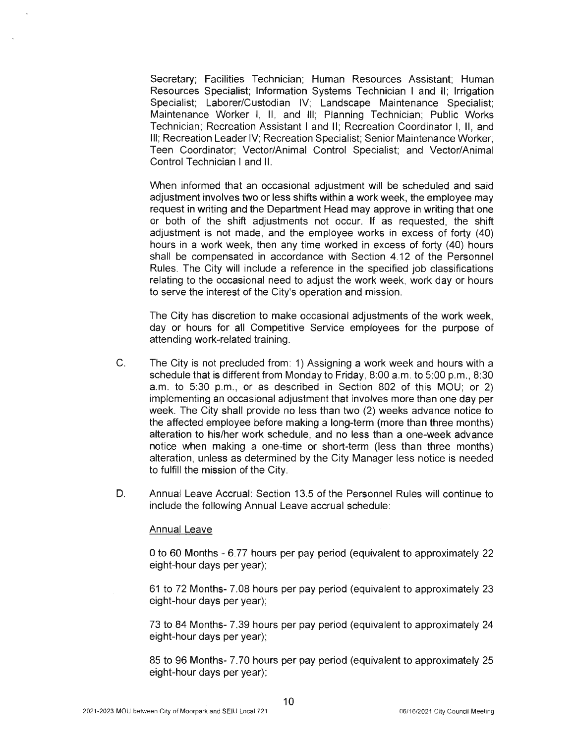Secretary; Facilities Technician; Human Resources Assistant; Human Resources Specialist; Information Systems Technician I and II; Irrigation Specialist; Laborer/Custodian IV; Landscape Maintenance Specialist; Maintenance Worker I, II, and Ill; Planning Technician; Public Works Technician; Recreation Assistant I and II ; Recreation Coordinator I, II , and Ill; Recreation Leader IV; Recreation Specialist; Senior Maintenance Worker; Teen Coordinator; Vector/Animal Control Specialist; and Vector/Animal Control Technician I and II.

When informed that an occasional adjustment will be scheduled and said adjustment involves two or less shifts within a work week, the employee may request in writing and the Department Head may approve in writing that one or both of the shift adjustments not occur. If as requested, the shift adjustment is not made, and the employee works in excess of forty (40) hours in a work week, then any time worked in excess of forty (40) hours shall be compensated in accordance with Section 4.12 of the Personnel Rules. The City will include a reference in the specified job classifications relating to the occasional need to adjust the work week, work day or hours to serve the interest of the City's operation and mission.

The City has discretion to make occasional adjustments of the work week, day or hours for all Competitive Service employees for the purpose of attending work-related training.

- C. The City is not precluded from: 1) Assigning a work week and hours with a schedule that is different from Monday to Friday, 8:00 a.m. to 5:00 p.m., 8:30 a.m. to 5:30 p.m., or as described in Section 802 of this MOU; or 2) implementing an occasional adjustment that involves more than one day per week. The City shall provide no less than two (2) weeks advance notice to the affected employee before making a long-term (more than three months) alteration to his/her work schedule, and no less than a one-week advance notice when making a one-time or short-term (less than three months) alteration, unless as determined by the City Manager less notice is needed to fulfill the mission of the City.
- D. Annual Leave Accrual: Section 13.5 of the Personnel Rules will continue to include the following Annual Leave accrual schedule:

#### Annual Leave

0 to 60 Months - 6.77 hours per pay period (equivalent to approximately 22 eight-hour days per year);

61 to 72 Months- 7.08 hours per pay period (equivalent to approximately 23 eight-hour days per year);

73 to 84 Months- 7.39 hours per pay period (equivalent to approximately 24 eight-hour days per year);

85 to 96 Months- 7.70 hours per pay period (equivalent to approximately 25 eight-hour days per year);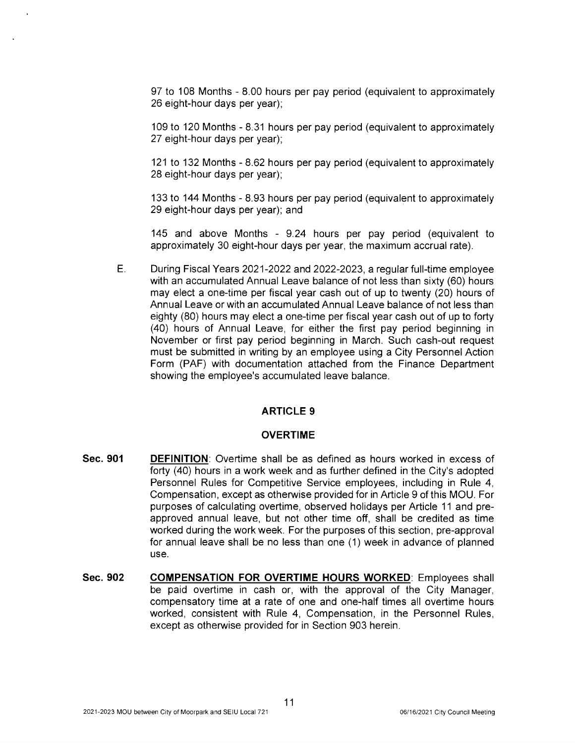97 to 108 Months - 8.00 hours per pay period (equivalent to approximately 26 eight-hour days per year);

109 to 120 Months - 8.31 hours per pay period (equivalent to approximately 27 eight-hour days per year);

121 to 132 Months - 8.62 hours per pay period (equivalent to approximately 28 eight-hour days per year);

133 to 144 Months - 8.93 hours per pay period (equivalent to approximately 29 eight-hour days per year); and

145 and above Months - 9.24 hours per pay period (equivalent to approximately 30 eight-hour days per year, the maximum accrual rate).

E. During Fiscal Years 2021-2022 and 2022-2023, a regular full-time employee with an accumulated Annual Leave balance of not less than sixty (60) hours may elect a one-time per fiscal year cash out of up to twenty (20) hours of Annual Leave or with an accumulated Annual Leave balance of not less than eighty (80) hours may elect a one-time per fiscal year cash out of up to forty (40) hours of Annual Leave, for either the first pay period beginning in November or first pay period beginning in March. Such cash-out request must be submitted in writing by an employee using a City Personnel Action Form (PAF) with documentation attached from the Finance Department showing the employee's accumulated leave balance.

## **ARTICLE 9**

#### **OVERTIME**

- **Sec. 901 DEFINITION:** Overtime shall be as defined as hours worked in excess of forty (40) hours in a work week and as further defined in the City's adopted Personnel Rules for Competitive Service employees, including in Rule 4, Compensation, except as otherwise provided for in Article 9 of this MOU. For purposes of calculating overtime, observed holidays per Article 11 and preapproved annual leave, but not other time off, shall be credited as time worked during the work week. For the purposes of this section, pre-approval for annual leave shall be no less than one (1) week in advance of planned use.
- **Sec. 902 COMPENSATION FOR OVERTIME HOURS WORKED:** Employees shall be paid overtime in cash or, with the approval of the City Manager, compensatory time at a rate of one and one-half times all overtime hours worked, consistent with Rule 4, Compensation, in the Personnel Rules, except as otherwise provided for in Section 903 herein.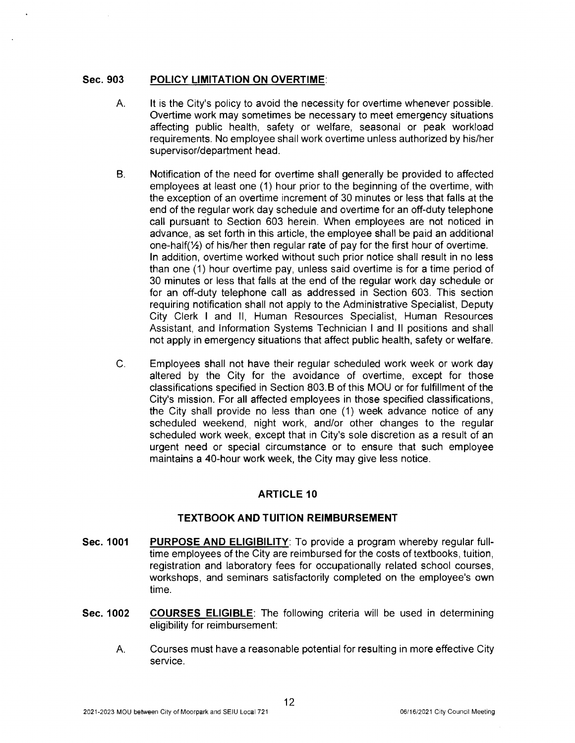#### **Sec.903 POLICY LIMITATION ON OVERTIME:**

- A. It is the City's policy to avoid the necessity for overtime whenever possible. Overtime work may sometimes be necessary to meet emergency situations affecting public health, safety or welfare, seasonal or peak workload requirements. No employee shall work overtime unless authorized by his/her supervisor/department head.
- B. Notification of the need for overtime shall generally be provided to affected employees at least one (1) hour prior to the beginning of the overtime, with the exception of an overtime increment of 30 minutes or less that falls at the end of the regular work day schedule and overtime for an off-duty telephone call pursuant to Section 603 herein. When employees are not noticed in advance, as set forth in this article, the employee shall be paid an additional one-half(½) of his/her then regular rate of pay for the first hour of overtime. In addition, overtime worked without such prior notice shall result in no less than one (1) hour overtime pay, unless said overtime is for a time period of 30 minutes or less that falls at the end of the regular work day schedule or for an off-duty telephone call as addressed in Section 603. This section requiring notification shall not apply to the Administrative Specialist, Deputy City Clerk I and II, Human Resources Specialist, Human Resources Assistant, and Information Systems Technician I and II positions and shall not apply in emergency situations that affect public health, safety or welfare.
- C. Employees shall not have their regular scheduled work week or work day altered by the City for the avoidance of overtime, except for those classifications specified in Section 803. B of this MOU or for fulfillment of the City's mission. For all affected employees in those specified classifications, the City shall provide no less than one (1) week advance notice of any scheduled weekend, night work, and/or other changes to the regular scheduled work week, except that in City's sole discretion as a result of an urgent need or special circumstance or to ensure that such employee maintains a 40-hour work week, the City may give less notice.

# **ARTICLE 10**

## **TEXTBOOK AND TUITION REIMBURSEMENT**

- **Sec. 1001 PURPOSE AND ELIGIBILITY:** To provide a program whereby regular fulltime employees of the City are reimbursed for the costs of textbooks, tuition, registration and laboratory fees for occupationally related school courses, workshops, and seminars satisfactorily completed on the employee's own time.
- **Sec. 1002 COURSES ELIGIBLE:** The following criteria will be used in determining eligibility for reimbursement:
	- A. Courses must have a reasonable potential for resulting in more effective City service.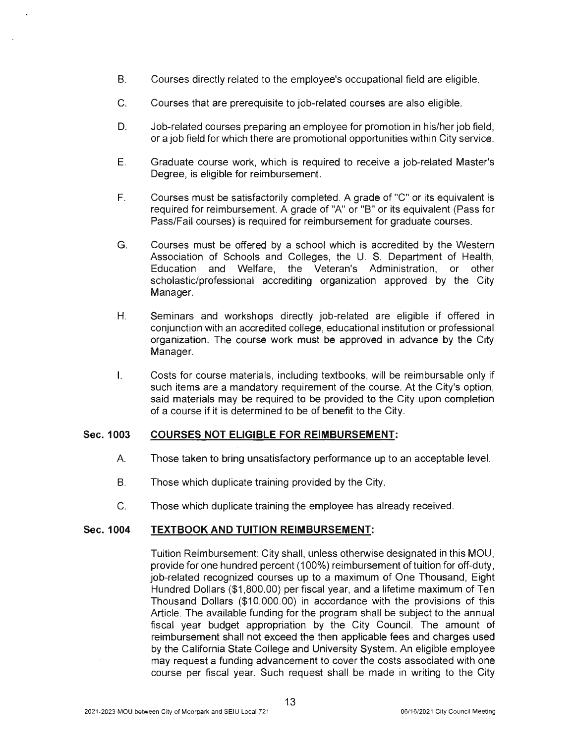- B. Courses directly related to the employee's occupational field are eligible.
- C. Courses that are prerequisite to job-related courses are also eligible.
- D. Job-related courses preparing an employee for promotion in his/her job field , or a job field for which there are promotional opportunities within City service.
- E. Graduate course work, which is required to receive a job-related Master's Degree, is eligible for reimbursement.
- F. Courses must be satisfactorily completed. A grade of "C" or its equivalent is required for reimbursement. A grade of "A" or "B" or its equivalent (Pass for Pass/Fail courses) is required for reimbursement for graduate courses.
- G. Courses must be offered by a school which is accredited by the Western Association of Schools and Colleges, the U. S. Department of Health, Education and Welfare, the Veteran's Administration, or other scholastic/professional accrediting organization approved by the City Manager.
- H. Seminars and workshops directly job-related are eligible if offered in conjunction with an accredited college, educational institution or professional organization. The course work must be approved in advance by the City Manager.
- I. Costs for course materials, including textbooks, will be reimbursable only if such items are a mandatory requirement of the course. At the City's option, said materials may be required to be provided to the City upon completion of a course if it is determined to be of benefit to the City.

#### **Sec. 1003 COURSES NOT ELIGIBLE FOR REIMBURSEMENT:**

- A. Those taken to bring unsatisfactory performance up to an acceptable level.
- B. Those which duplicate training provided by the City.
- C. Those which duplicate training the employee has already received.

#### **Sec. 1004 TEXTBOOK AND TUITION REIMBURSEMENT:**

Tuition Reimbursement: City shall, unless otherwise designated in this MOU, provide for one hundred percent (100%) reimbursement of tuition for off-duty , job-related recognized courses up to a maximum of One Thousand, Eight Hundred Dollars (\$1 ,800.00) per fiscal year, and a lifetime maximum of Ten Thousand Dollars (\$10,000.00) in accordance with the provisions of this Article. The available funding for the program shall be subject to the annual fiscal year budget appropriation by the City Council. The amount of reimbursement shall not exceed the then applicable fees and charges used by the California State College and University System. An eligible employee may request a funding advancement to cover the costs associated with one course per fiscal year. Such request shall be made in writing to the City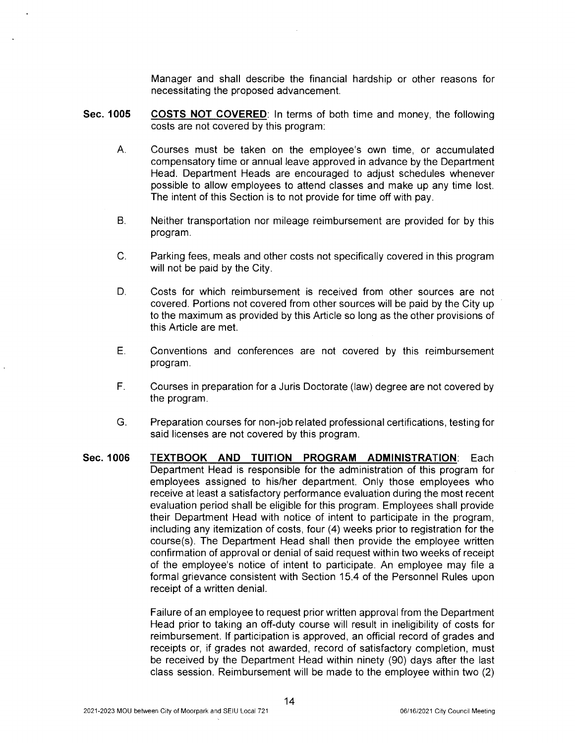Manager and shall describe the financial hardship or other reasons for necessitating the proposed advancement.

- **Sec. 1005 COSTS NOT COVERED:** In terms of both time and money, the following costs are not covered by this program:
	- A. Courses must be taken on the employee's own time, or accumulated compensatory time or annual leave approved in advance by the Department Head. Department Heads are encouraged to adjust schedules whenever possible to allow employees to attend classes and make up any time lost. The intent of this Section is to not provide for time off with pay.
	- B. Neither transportation nor mileage reimbursement are provided for by this program.
	- C. Parking fees, meals and other costs not specifically covered in this program will not be paid by the City.
	- D. Costs for which reimbursement is received from other sources are not covered. Portions not covered from other sources will be paid by the City up to the maximum as provided by this Article so long as the other provisions of this Article are met.
	- E. Conventions and conferences are not covered by this reimbursement program.
	- F. Courses in preparation for a Juris Doctorate (law) degree are not covered by the program.
	- G. Preparation courses for non-job related professional certifications, testing for said licenses are not covered by this program.
- **Sec. 1006 TEXTBOOK AND TUITION PROGRAM ADMINISTRATION:** Each Department Head is responsible for the administration of this program for employees assigned to his/her department. Only those employees who receive at least a satisfactory performance evaluation during the most recent evaluation period shall be eligible for this program. Employees shall provide their Department Head with notice of intent to participate in the program, including any itemization of costs, four (4) weeks prior to registration for the course(s). The Department Head shall then provide the employee written confirmation of approval or denial of said request within two weeks of receipt of the employee's notice of intent to participate. An employee may file a formal grievance consistent with Section 15.4 of the Personnel Rules upon receipt of a written denial.

Failure of an employee to request prior written approval from the Department Head prior to taking an off-duty course will result in ineligibility of costs for reimbursement. If participation is approved, an official record of grades and receipts or, if grades not awarded, record of satisfactory completion, must be received by the Department Head within ninety (90) days after the last class session. Reimbursement will be made to the employee within two (2)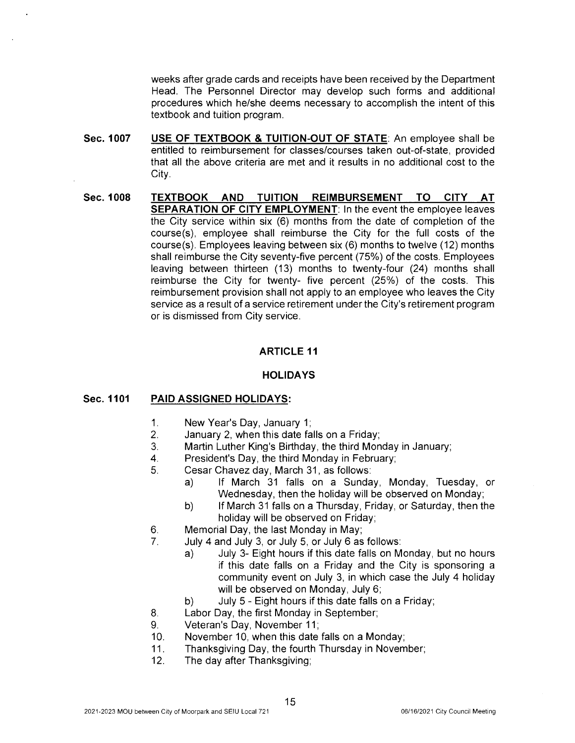weeks after grade cards and receipts have been received by the Department Head. The Personnel Director may develop such forms and additional procedures which he/she deems necessary to accomplish the intent of this textbook and tuition program.

- **Sec. 1007 USE OF TEXTBOOK & TUITION-OUT OF STATE:** An employee shall be entitled to reimbursement for classes/courses taken out-of-state, provided that all the above criteria are met and it results in no additional cost to the City.
- **Sec. 1008 TEXTBOOK AND TUITION REIMBURSEMENT TO CITY AT SEPARATION OF CITY EMPLOYMENT:** In the event the employee leaves the City service within six (6) months from the date of completion of the course(s), employee shall reimburse the City for the full costs of the course(s). Employees leaving between six (6) months to twelve (12) months shall reimburse the City seventy-five percent (75%) of the costs. Employees leaving between thirteen (13) months to twenty-four (24) months shall reimburse the City for twenty- five percent (25%) of the costs. This reimbursement provision shall not apply to an employee who leaves the City service as a result of a service retirement under the City's retirement program or is dismissed from City service.

# **ARTICLE 11**

## **HOLIDAYS**

#### **Sec. 1101 PAID ASSIGNED HOLIDAYS:**

- 1. New Year's Day, January 1;
- 2. January 2, when this date falls on a Friday;
- 3. Martin Luther King's Birthday, the third Monday in January;
- 4. President's Day, the third Monday in February;
- 5. Cesar Chavez day, March 31, as follows:
	- a) If March 31 falls on a Sunday, Monday, Tuesday, or Wednesday, then the holiday will be observed on Monday;
	- b) If March 31 falls on a Thursday, Friday, or Saturday, then the holiday will be observed on Friday;
- 6. Memorial Day, the last Monday in May;
- 7. July 4 and July 3, or July 5, or July 6 as follows:
	- a) July 3- Eight hours if this date falls on Monday, but no hours if this date falls on a Friday and the City is sponsoring a community event on July 3, in which case the July 4 holiday will be observed on Monday, July 6;
	- b) July 5 Eight hours if this date falls on a Friday;
- 8. Labor Day, the first Monday in September;
- 9. Veteran's Day, November 11;
- 10. November 10, when this date falls on a Monday;
- 11. Thanksgiving Day, the fourth Thursday in November;
- 12. The day after Thanksgiving;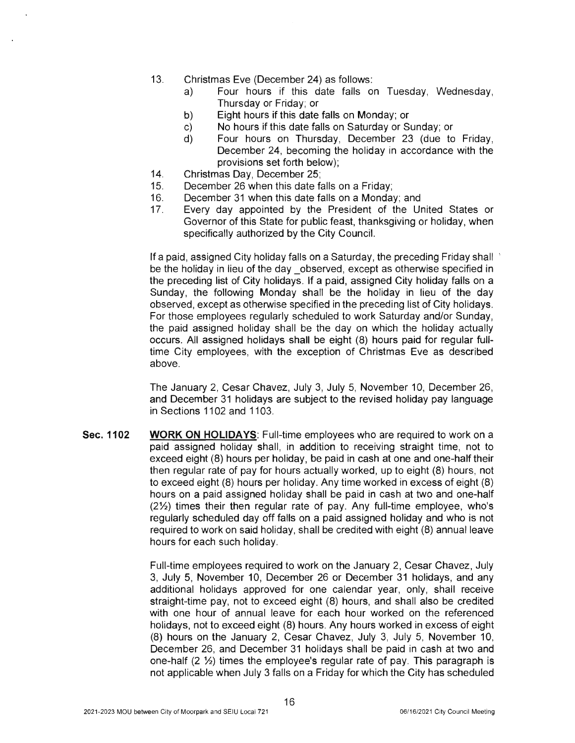- 13. Christmas Eve (December 24) as follows :
	- a) Four hours if this date falls on Tuesday, Wednesday, Thursday or Friday; or
	- b) Eight hours if this date falls on Monday; or
	- c) No hours if this date falls on Saturday or Sunday; or
	- d) Four hours on Thursday, December 23 (due to Friday, December 24, becoming the holiday in accordance with the provisions set forth below);
- 14. Christmas Day, December 25;
- 15. December 26 when this date falls on a Friday;
- 16. December 31 when this date falls on a Monday; and
- 17. Every day appointed by the President of the United States or Governor of this State for public feast, thanksgiving or holiday, when specifically authorized by the City Council.

If a paid, assigned City holiday falls on a Saturday, the preceding Friday shall ' be the holiday in lieu of the day observed, except as otherwise specified in the preceding list of City holidays. If a paid, assigned City holiday falls on a Sunday, the following Monday shall be the holiday in lieu of the day observed, except as otherwise specified in the preceding list of City holidays. For those employees regularly scheduled to work Saturday and/or Sunday, the paid assigned holiday shall be the day on which the holiday actually occurs. All assigned holidays shall be eight (8) hours paid for regular fulltime City employees, with the exception of Christmas Eve as described above.

The January 2, Cesar Chavez, July 3, July 5, November 10, December 26, and December 31 holidays are subject to the revised holiday pay language in Sections 1102 and 1103.

**Sec. 1102 WORK ON HOLIDAYS:** Full-time employees who are required to work on a paid assigned holiday shall, in addition to receiving straight time, not to exceed eight (8) hours per holiday, be paid in cash at one and one-half their then regular rate of pay for hours actually worked, up to eight (8) hours, not to exceed eight (8) hours per holiday. Any time worked in excess of eight (8) hours on a paid assigned holiday shall be paid in cash at two and one-half (2½) times their then regular rate of pay. Any full-time employee, who's regularly scheduled day off falls on a paid assigned holiday and who is not required to work on said holiday, shall be credited with eight (8) annual leave hours for each such holiday.

> Full-time employees required to work on the January 2, Cesar Chavez, July 3, July 5, November 10, December 26 or December 31 holidays, and any additional holidays approved for one calendar year, only, shall receive straight-time pay, not to exceed eight (8) hours, and shall also be credited with one hour of annual leave for each hour worked on the referenced holidays, not to exceed eight (8) hours. Any hours worked in excess of eight (8) hours on the January 2, Cesar Chavez, July 3, July 5, November 10, December 26, and December 31 holidays shall be paid in cash at two and one-half (2 ½) times the employee's regular rate of pay. This paragraph is not applicable when July 3 falls on a Friday for which the City has scheduled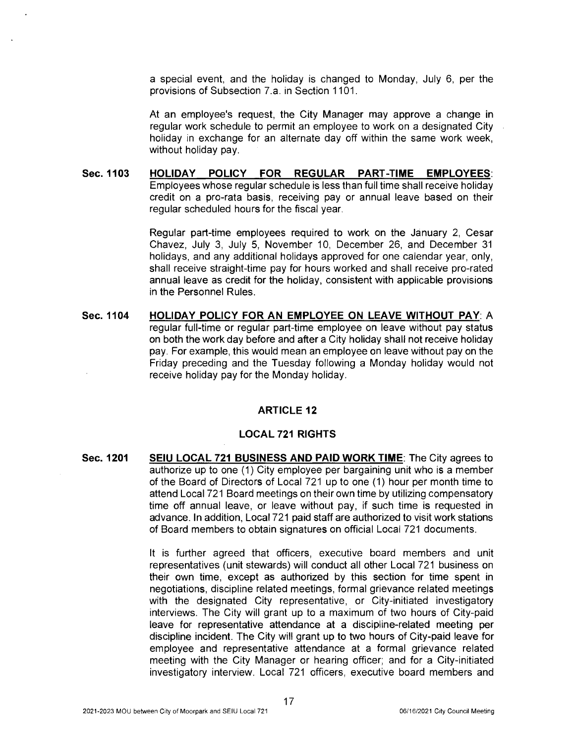a special event, and the holiday is changed to Monday, July 6, per the provisions of Subsection 7.a. in Section 1101.

At an employee's request, the City Manager may approve a change in regular work schedule to permit an employee to work on a designated City holiday in exchange for an alternate day off within the same work week, without holiday pay.

**Sec.1103 HOLIDAY POLICY FOR REGULAR PART-TIME EMPLOYEES:**  Employees whose regular schedule is less than full time shall receive holiday credit on a pro-rata basis, receiving pay or annual leave based on their regular scheduled hours for the fiscal year.

> Regular part-time employees required to work on the January 2, Cesar Chavez, July 3, July 5, November 10, December 26, and December 31 holidays, and any additional holidays approved for one calendar year, only, shall receive straight-time pay for hours worked and shall receive pro-rated annual leave as credit for the holiday, consistent with applicable provisions in the Personnel Rules .

**Sec. 1104 HOLIDAY POLICY FOR AN EMPLOYEE ON LEAVE WITHOUT PAY:** A regular full-time or regular part-time employee on leave without pay status on both the work day before and after a City holiday shall not receive holiday pay. For example, this would mean an employee on leave without pay on the Friday preceding and the Tuesday following a Monday holiday would not receive holiday pay for the Monday holiday.

## **ARTICLE 12**

## **LOCAL 721 RIGHTS**

**Sec. 1201 SEIU LOCAL 721 BUSINESS AND PAID WORK TIME:** The City agrees to authorize up to one (1) City employee per bargaining unit who is a member of the Board of Directors of Local 721 up to one (1) hour per month time to attend Local 721 Board meetings on their own time by utilizing compensatory time off annual leave, or leave without pay, if such time is requested in advance. In addition, Local 721 paid staff are authorized to visit work stations of Board members to obtain signatures on official Local 721 documents.

> It is further agreed that officers, executive board members and unit representatives (unit stewards) will conduct all other Local 721 business on their own time, except as authorized by this section for time spent in negotiations, discipline related meetings, formal grievance related meetings with the designated City representative, or City-initiated investigatory interviews. The City will grant up to a maximum of two hours of City-paid leave for representative attendance at a discipline-related meeting per discipline incident. The City will grant up to two hours of City-paid leave for employee and representative attendance at a formal grievance related meeting with the City Manager or hearing officer; and for a City-initiated investigatory interview. Local 721 officers, executive board members and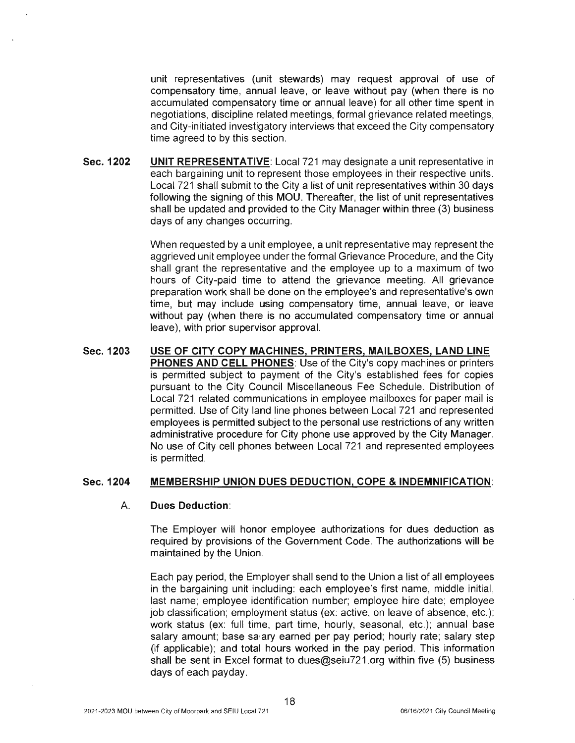unit representatives (unit stewards) may request approval of use of compensatory time, annual leave, or leave without pay (when there is no accumulated compensatory time or annual leave) for all other time spent in negotiations, discipline related meetings, formal grievance related meetings, and City-initiated investigatory interviews that exceed the City compensatory time agreed to by this section.

**Sec. 1202 UNIT REPRESENTATIVE:** Local 721 may designate a unit representative in each bargaining unit to represent those employees in their respective units. Local 721 shall submit to the City a list of unit representatives within 30 days following the signing of this MOU. Thereafter, the list of unit representatives shall be updated and provided to the City Manager within three (3) business days of any changes occurring.

> When requested by a unit employee, a unit representative may represent the aggrieved unit employee under the formal Grievance Procedure, and the City shall grant the representative and the employee up to a maximum of two hours of City-paid time to attend the grievance meeting. All grievance preparation work shall be done on the employee's and representative's own time, but may include using compensatory time, annual leave, or leave without pay (when there is no accumulated compensatory time or annual leave), with prior supervisor approval.

**Sec. 1203 USE OF CITY COPY MACHINES, PRINTERS, MAILBOXES, LAND LINE PHONES AND CELL PHONES:** Use of the City's copy machines or printers is permitted subject to payment of the City's established fees for copies pursuant to the City Council Miscellaneous Fee Schedule. Distribution of Local 721 related communications in employee mailboxes for paper mail is permitted. Use of City land line phones between Local 721 and represented employees is permitted subject to the personal use restrictions of any written administrative procedure for City phone use approved by the City Manager. No use of City cell phones between Local 721 and represented employees is permitted.

#### **Sec. 1204 MEMBERSHIP UNION DUES DEDUCTION, COPE & INDEMNIFICATION:**

#### A. **Dues Deduction:**

The Employer will honor employee authorizations for dues deduction as required by provisions of the Government Code. The authorizations will be maintained by the Union.

Each pay period, the Employer shall send to the Union a list of all employees in the bargaining unit including: each employee's first name, middle initial, last name; employee identification number; employee hire date; employee job classification; employment status (ex: active, on leave of absence, etc.); work status (ex: full time, part time, hourly, seasonal, etc.); annual base salary amount; base salary earned per pay period; hourly rate; salary step (if applicable); and total hours worked in the pay period. This information shall be sent in Excel format to dues@seiu721 org within five (5) business days of each payday.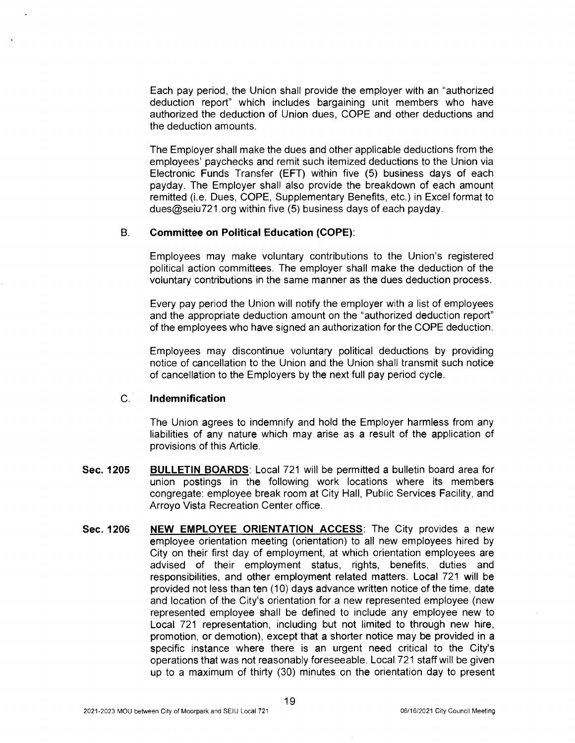Each pay period, the Union shall provide the employer with an "authorized deduction report" which includes bargaining unit members who have authorized the deduction of Union dues, COPE and other deductions and the deduction amounts.

The Employer shall make the dues and other applicable deductions from the employees' paychecks and remit such itemized deductions to the Union via Electronic Funds Transfer (EFT) within five (5) business days of each payday. The Employer shall also provide the breakdown of each amount remitted (i.e. Dues, COPE, Supplementary Benefits, etc.) in Excel format to dues@seiu721.org within five (5) business days of each payday.

### B. **Committee on Political Education (COPE):**

Employees may make voluntary contributions to the Union's registered political action committees. The employer shall make the deduction of the voluntary contributions in the same manner as the dues deduction process.

Every pay period the Union will notify the employer with a list of employees and the appropriate deduction amount on the "authorized deduction report" of the employees who have signed an authorization for the COPE deduction.

Employees may discontinue voluntary political deductions by providing notice of cancellation to the Union and the Union shall transmit such notice of cancellation to the Employers by the next full pay period cycle.

#### C. **Indemnification**

The Union agrees to indemnify and hold the Employer harmless from any liabilities of any nature which may arise as a result of the application of provisions of this Article.

- **Sec. 1205 BULLETIN BOARDS:** Local 721 will be permitted a bulletin board area for union postings in the following work locations where its members congregate: employee break room at City Hall, Public Services Facility, and Arroyo Vista Recreation Center office.
- **Sec. 1206 NEW EMPLOYEE ORIENTATION ACCESS:** The City provides a new employee orientation meeting (orientation) to all new employees hired by City on their first day of employment, at which orientation employees are advised of their employment status, rights, benefits, duties and responsibilities, and other employment related matters. Local 721 will be provided not less than ten (10) days advance written notice of the time, date and location of the City's orientation for a new represented employee (new represented employee shall be defined to include any employee new to Local 721 representation, including but not limited to through new hire, promotion, or demotion), except that a shorter notice may be provided in a specific instance where there is an urgent need critical to the City's operations that was not reasonably foreseeable. Local 721 staff will be given up to a maximum of thirty (30) minutes on the orientation day to present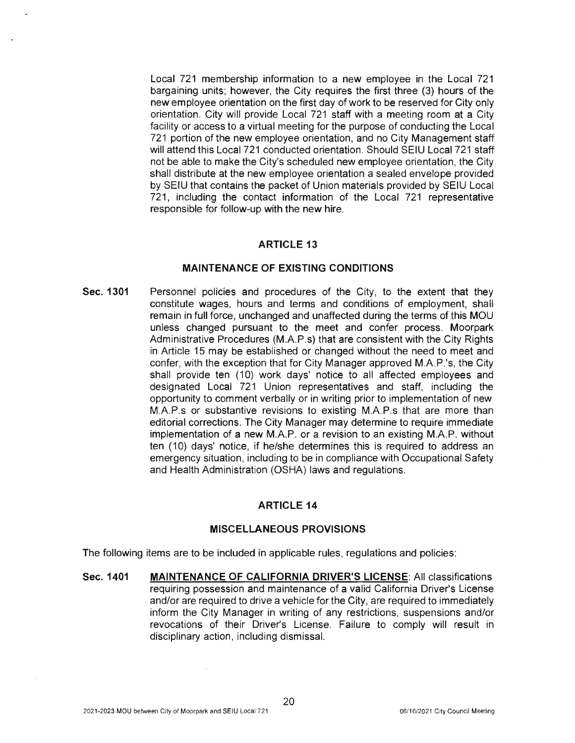Local 721 membership information to a new employee in the Local 721 bargaining units; however, the City requires the first three (3) hours of the new employee orientation on the first day of work to be reserved for City only orientation. City will provide Local 721 staff with a meeting room at a City facility or access to a virtual meeting for the purpose of conducting the Local 721 portion of the new employee orientation, and no City Management staff will attend this Local 721 conducted orientation. Should SEIU Local 721 staff not be able to make the City's scheduled new employee orientation, the City shall distribute at the new employee orientation a sealed envelope provided by SEIU that contains the packet of Union materials provided by SEIU Local 721, including the contact information of the Local 721 representative responsible for follow-up with the new hire.

### **ARTICLE 13**

#### **MAINTENANCE OF EXISTING CONDITIONS**

**Sec. 1301**  Personnel policies and procedures of the City, to the extent that they constitute wages, hours and terms and conditions of employment, shall remain in full force, unchanged and unaffected during the terms of this MOU unless changed pursuant to the meet and confer process. Moorpark Administrative Procedures (M.A.P.s) that are consistent with the City Rights in Article 15 may be established or changed without the need to meet and confer, with the exception that for City Manager approved M.A.P.'s, the City shall provide ten (10) work days' notice to all affected employees and designated Local 721 Union representatives and staff, including the opportunity to comment verbally or in writing prior to implementation of new M.A.P.s or substantive revisions to existing M.A.P.s that are more than editorial corrections. The City Manager may determine to require immediate implementation of a new M.A.P. or a revision to an existing M.A.P. without ten (10) days' notice, if he/she determines this is required to address an emergency situation, including to be in compliance with Occupational Safety and Health Administration (OSHA) laws and regulations.

## **ARTICLE 14**

#### **MISCELLANEOUS PROVISIONS**

The following items are to be included in applicable rules, regulations and policies:

**Sec. 1401 MAINTENANCE OF CALIFORNIA DRIVER'S LICENSE:** All classifications requiring possession and maintenance of a valid California Driver's License and/or are required to drive a vehicle for the City, are required to immediately inform the City Manager in writing of any restrictions, suspensions and/or revocations of their Driver's License. Failure to comply will result in disciplinary action, including dismissal.

 $\mathcal{L}$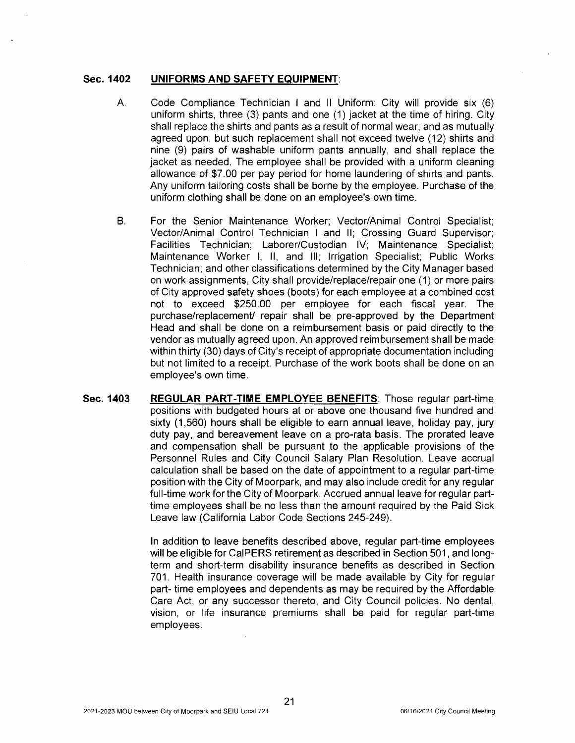#### **Sec. 1402 UNIFORMS AND SAFETY EQUIPMENT:**

- A. Code Compliance Technician I and II Uniform: City will provide six (6) uniform shirts, three (3) pants and one (1) jacket at the time of hiring. City shall replace the shirts and pants as a result of normal wear, and as mutually agreed upon, but such replacement shall not exceed twelve (12) shirts and nine (9) pairs of washable uniform pants annually, and shall replace the jacket as needed. The employee shall be provided with a uniform cleaning allowance of \$7.00 per pay period for home laundering of shirts and pants. Any uniform tailoring costs shall be borne by the employee. Purchase of the uniform clothing shall be done on an employee's own time.
- B. For the Senior Maintenance Worker; Vector/Animal Control Specialist; Vector/Animal Control Technician I and II; Crossing Guard Supervisor; Facilities Technician; Laborer/Custodian IV; Maintenance Specialist; Maintenance Worker I, II, and Ill; Irrigation Specialist; Public Works Technician; and other classifications determined by the City Manager based on work assignments, City shall provide/replace/repair one ( 1) or more pairs of City approved safety shoes (boots) for each employee at a combined cost not to exceed \$250.00 per employee for each fiscal year. The purchase/replacement/ repair shall be pre-approved by the Department Head and shall be done on a reimbursement basis or paid directly to the vendor as mutually agreed upon. An approved reimbursement shall be made within thirty (30) days of City's receipt of appropriate documentation including but not limited to a receipt. Purchase of the work boots shall be done on an employee's own time.
- **Sec. 1403 REGULAR PART-TIME EMPLOYEE BENEFITS:** Those regular part-time positions with budgeted hours at or above one thousand five hundred and sixty (1,560) hours shall be eligible to earn annual leave, holiday pay, jury duty pay, and bereavement leave on a pro-rata basis. The prorated leave and compensation shall be pursuant to the applicable provisions of the Personnel Rules and City Council Salary Plan Resolution. Leave accrual calculation shall be based on the date of appointment to a regular part-time position with the City of Moorpark, and may also include credit for any regular full-time work for the City of Moorpark. Accrued annual leave for regular parttime employees shall be no less than the amount required by the Paid Sick Leave law (California Labor Code Sections 245-249).

In addition to leave benefits described above, regular part-time employees will be eligible for CalPERS retirement as described in Section 501, and longterm and short-term disability insurance benefits as described in Section 701. Health insurance coverage will be made available by City for regular part- time employees and dependents as may be required by the Affordable Care Act, or any successor thereto, and City Council policies. No dental, vision, or life insurance premiums shall be paid for regular part-time employees.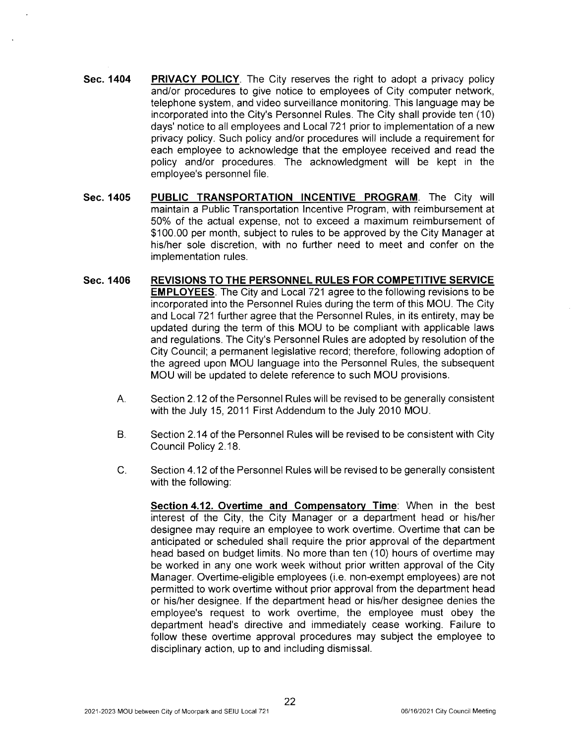- **Sec. 1404 PRIVACY POLICY.** The City reserves the right to adopt a privacy policy and/or procedures to give notice to employees of City computer network, telephone system, and video surveillance monitoring. This language may be incorporated into the City's Personnel Rules. The City shall provide ten (10) days' notice to all employees and Local 721 prior to implementation of a new privacy policy. Such policy and/or procedures will include a requirement for each employee to acknowledge that the employee received and read the policy and/or procedures. The acknowledgment will be kept in the employee's personnel file.
- **Sec. 1405 PUBLIC TRANSPORTATION INCENTIVE PROGRAM.** The City will maintain a Public Transportation Incentive Program, with reimbursement at 50% of the actual expense, not to exceed a maximum reimbursement of \$100.00 per month, subject to rules to be approved by the City Manager at his/her sole discretion, with no further need to meet and confer on the implementation rules.
- **Sec. 1406 REVISIONS TO THE PERSONNEL RULES FOR COMPETITIVE SERVICE EMPLOYEES.** The City and Local 721 agree to the following revisions to be incorporated into the Personnel Rules during the term of this MOU. The City and Local 721 further agree that the Personnel Rules, in its entirety, may be updated during the term of this MOU to be compliant with applicable laws and regulations. The City's Personnel Rules are adopted by resolution of the City Council; a permanent legislative record; therefore, following adoption of the agreed upon MOU language into the Personnel Rules, the subsequent MOU will be updated to delete reference to such MOU provisions.
	- A. Section 2.12 of the Personnel Rules will be revised to be generally consistent with the July 15, 2011 First Addendum to the July 2010 MOU.
	- B. Section 2.14 of the Personnel Rules will be revised to be consistent with City Council Policy 2.18.
	- C. Section 4.12 of the Personnel Rules will be revised to be generally consistent with the following:
		- **Section 4.12. Overtime and Compensatory Time:** When in the best interest of the City, the City Manager or a department head or his/her designee may require an employee to work overtime. Overtime that can be anticipated or scheduled shall require the prior approval of the department head based on budget limits. No more than ten (10) hours of overtime may be worked in any one work week without prior written approval of the City Manager. Overtime-eligible employees (i.e. non-exempt employees) are not permitted to work overtime without prior approval from the department head or his/her designee. If the department head or his/her designee denies the employee's request to work overtime, the employee must obey the department head's directive and immediately cease working. Failure to follow these overtime approval procedures may subject the employee to disciplinary action, up to and including dismissal.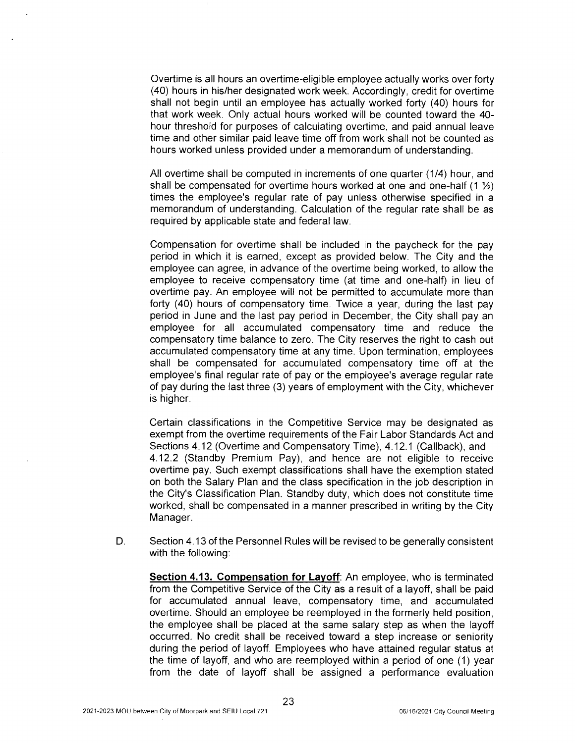Overtime is all hours an overtime-eligible employee actually works over forty (40) hours in his/her designated work week. Accordingly, credit for overtime shall not begin until an employee has actually worked forty (40) hours for that work week. Only actual hours worked will be counted toward the 40 hour threshold for purposes of calculating overtime, and paid annual leave time and other similar paid leave time off from work shall not be counted as hours worked unless provided under a memorandum of understanding.

All overtime shall be computed in increments of one quarter (1/4) hour, and shall be compensated for overtime hours worked at one and one-half  $(1 \frac{1}{2})$ times the employee's regular rate of pay unless otherwise specified in a memorandum of understanding. Calculation of the regular rate shall be as required by applicable state and federal law.

Compensation for overtime shall be included in the paycheck for the pay period in which it is earned, except as provided below. The City and the employee can agree, in advance of the overtime being worked, to allow the employee to receive compensatory time (at time and one-half) in lieu of overtime pay. An employee will not be permitted to accumulate more than forty (40) hours of compensatory time. Twice a year, during the last pay period in June and the last pay period in December, the City shall pay an employee for all accumulated compensatory time and reduce the compensatory time balance to zero. The City reserves the right to cash out accumulated compensatory time at any time. Upon termination, employees shall be compensated for accumulated compensatory time off at the employee's final regular rate of pay or the employee's average regular rate of pay during the last three (3) years of employment with the City, whichever is higher.

Certain classifications in the Competitive Service may be designated as exempt from the overtime requirements of the Fair Labor Standards Act and Sections 4.12 (Overtime and Compensatory Time), 4.12.1 (Callback), and 4.12.2 (Standby Premium Pay), and hence are not eligible to receive overtime pay. Such exempt classifications shall have the exemption stated on both the Salary Plan and the class specification in the job description in the City's Classification Plan. Standby duty, which does not constitute time worked, shall be compensated in a manner prescribed in writing by the City Manager.

D. Section 4.13 of the Personnel Rules will be revised to be generally consistent with the following:

**Section 4.13. Compensation for Layoff:** An employee, who is terminated from the Competitive Service of the City as a result of a layoff, shall be paid for accumulated annual leave, compensatory time, and accumulated overtime. Should an employee be reemployed in the formerly held position, the employee shall be placed at the same salary step as when the layoff occurred. No credit shall be received toward a step increase or seniority during the period of layoff. Employees who have attained regular status at the time of layoff, and who are reemployed within a period of one (1) year from the date of layoff shall be assigned a performance evaluation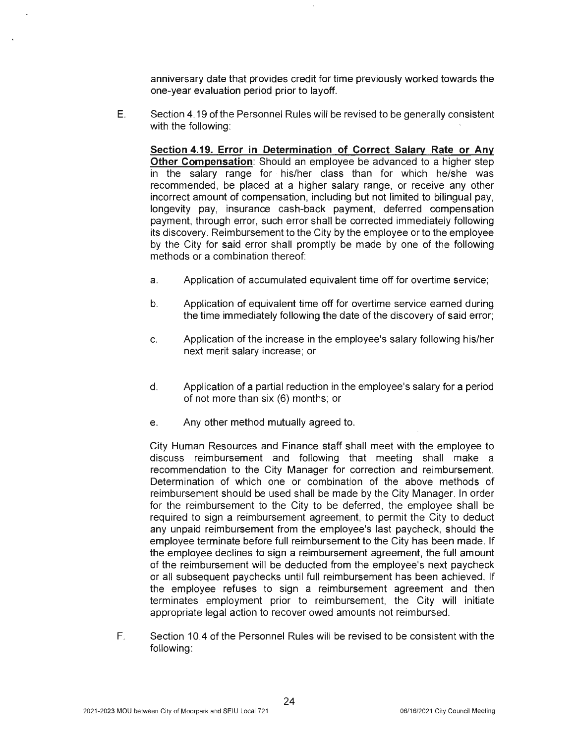anniversary date that provides credit for time previously worked towards the one-year evaluation period prior to layoff.

E. Section 4.19 of the Personnel Rules will be revised to be generally consistent with the following:

**Section 4.19. Error in Determination of Correct Salary Rate or Any Other Compensation:** Should an employee be advanced to a higher step in the salary range for his/her class than for which he/she was recommended, be placed at a higher salary range, or receive any other incorrect amount of compensation, including but not limited to bilingual pay, longevity pay, insurance cash-back payment, deferred compensation payment, through error, such error shall be corrected immediately following its discovery. Reimbursement to the City by the employee or to the employee by the City for said error shall promptly be made by one of the following methods or a combination thereof:

- a. Application of accumulated equivalent time off for overtime service;
- b. Application of equivalent time off for overtime service earned during the time immediately following the date of the discovery of said error;
- c. Application of the increase in the employee's salary following his/her next merit salary increase; or
- d. Application of a partial reduction in the employee's salary for a period of not more than six (6) months; or
- e. Any other method mutually agreed to.

City Human Resources and Finance staff shall meet with the employee to discuss reimbursement and following that meeting shall make a recommendation to the City Manager for correction and reimbursement. Determination of which one or combination of the above methods of reimbursement should be used shall be made by the City Manager. In order for the reimbursement to the City to be deferred, the employee shall be required to sign a reimbursement agreement, to permit the City to deduct any unpaid reimbursement from the employee's last paycheck, should the employee terminate before full reimbursement to the City has been made. If the employee declines to sign a reimbursement agreement, the full amount of the reimbursement will be deducted from the employee's next paycheck or all subsequent paychecks until full reimbursement has been achieved. If the employee refuses to sign a reimbursement agreement and then terminates employment prior to reimbursement, the City will initiate appropriate legal action to recover owed amounts not reimbursed.

F. Section 10.4 of the Personnel Rules will be revised to be consistent with the following: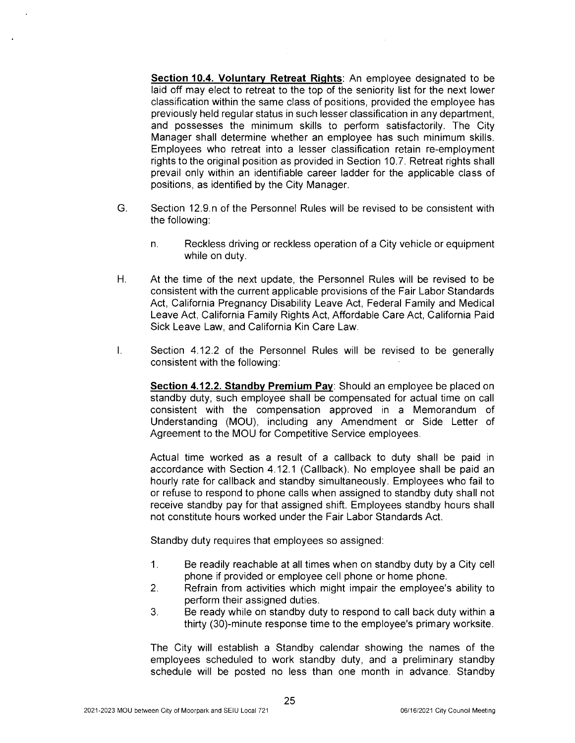**Section 10.4. Voluntary Retreat Rights:** An employee designated to be laid off may elect to retreat to the top of the seniority list for the next lower classification within the same class of positions, provided the employee has previously held regular status in such lesser classification in any department, and possesses the minimum skills to perform satisfactorily. The City Manager shall determine whether an employee has such minimum skills. Employees who retreat into a lesser classification retain re-employment rights to the original position as provided in Section 10.7. Retreat rights shall prevail only within an identifiable career ladder for the applicable class of positions, as identified by the City Manager.

- G. Section 12.9.n of the Personnel Rules will be revised to be consistent with the following:
	- n. Reckless driving or reckless operation of a City vehicle or equipment while on duty.
- H. At the time of the next update, the Personnel Rules will be revised to be consistent with the current applicable provisions of the Fair Labor Standards Act, California Pregnancy Disability Leave Act, Federal Family and Medical Leave Act, California Family Rights Act, Affordable Care Act, California Paid Sick Leave Law, and California Kin Care Law.
- I. Section 4.12.2 of the Personnel Rules will be revised to be generally consistent with the following:

**Section 4.12.2. Standby Premium Pay:** Should an employee be placed on standby duty, such employee shall be compensated for actual time on call consistent with the compensation approved in a Memorandum of Understanding (MOU), including any Amendment or Side Letter of Agreement to the MOU for Competitive Service employees.

Actual time worked as a result of a callback to duty shall be paid in accordance with Section 4.12.1 (Callback). No employee shall be paid an hourly rate for callback and standby simultaneously. Employees who fail to or refuse to respond to phone calls when assigned to standby duty shall not receive standby pay for that assigned shift. Employees standby hours shall not constitute hours worked under the Fair Labor Standards Act.

Standby duty requires that employees so assigned:

- 1. Be readily reachable at all times when on standby duty by a City cell phone if provided or employee cell phone or home phone.
- 2. Refrain from activities which might impair the employee's ability to perform their assigned duties.
- 3. Be ready while on standby duty to respond to call back duty within a thirty (30)-minute response time to the employee's primary worksite.

The City will establish a Standby calendar showing the names of the employees scheduled to work standby duty, and a preliminary standby schedule will be posted no less than one month in advance. Standby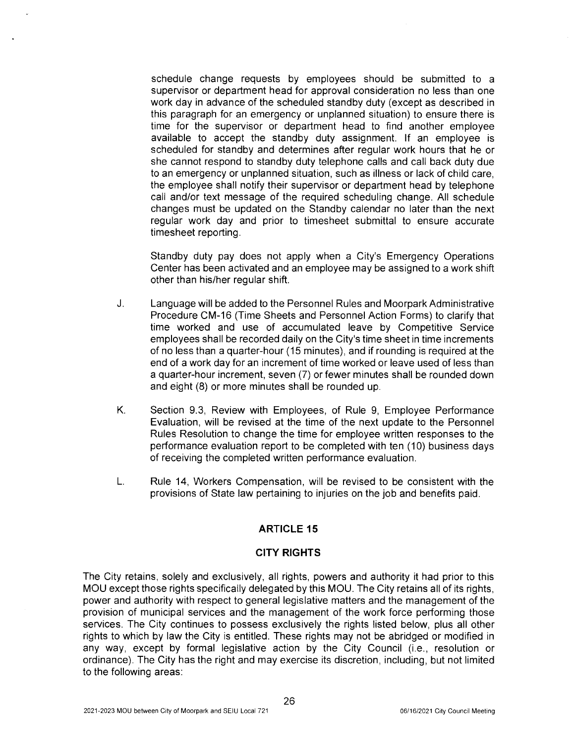schedule change requests by employees should be submitted to a supervisor or department head for approval consideration no less than one work day in advance of the scheduled standby duty (except as described in this paragraph for an emergency or unplanned situation) to ensure there is time for the supervisor or department head to find another employee available to accept the standby duty assignment. If an employee is scheduled for standby and determines after regular work hours that he or she cannot respond to standby duty telephone calls and call back duty due to an emergency or unplanned situation, such as illness or lack of child care, the employee shall notify their supervisor or department head by telephone call and/or text message of the required scheduling change. All schedule changes must be updated on the Standby calendar no later than the next regular work day and prior to timesheet submittal to ensure accurate timesheet reporting.

Standby duty pay does not apply when a City's Emergency Operations Center has been activated and an employee may be assigned to a work shift other than his/her regular shift.

- J. Language will be added to the Personnel Rules and Moorpark Administrative Procedure CM-16 (Time Sheets and Personnel Action Forms) to clarify that time worked and use of accumulated leave by Competitive Service employees shall be recorded daily on the City's time sheet in time increments of no less than a quarter-hour (15 minutes), and if rounding is required at the end of a work day for an increment of time worked or leave used of less than a quarter-hour increment, seven (7) or fewer minutes shall be rounded down and eight (8) or more minutes shall be rounded up.
- K. Section 9.3, Review with Employees, of Rule 9, Employee Performance Evaluation, will be revised at the time of the next update to the Personnel Rules Resolution to change the time for employee written responses to the performance evaluation report to be completed with ten (10) business days of receiving the completed written performance evaluation.
- L. Rule 14, Workers Compensation, will be revised to be consistent with the provisions of State law pertaining to injuries on the job and benefits paid.

## **ARTICLE 15**

## **CITY RIGHTS**

The City retains, solely and exclusively, all rights, powers and authority it had prior to this MOU except those rights specifically delegated by this MOU. The City retains all of its rights, power and authority with respect to general legislative matters and the management of the provision of municipal services and the management of the work force performing those services. The City continues to possess exclusively the rights listed below, plus all other rights to which by law the City is entitled. These rights may not be abridged or modified in any way, except by formal legislative action by the City Council (i.e., resolution or ordinance). The City has the right and may exercise its discretion, including, but not limited to the following areas: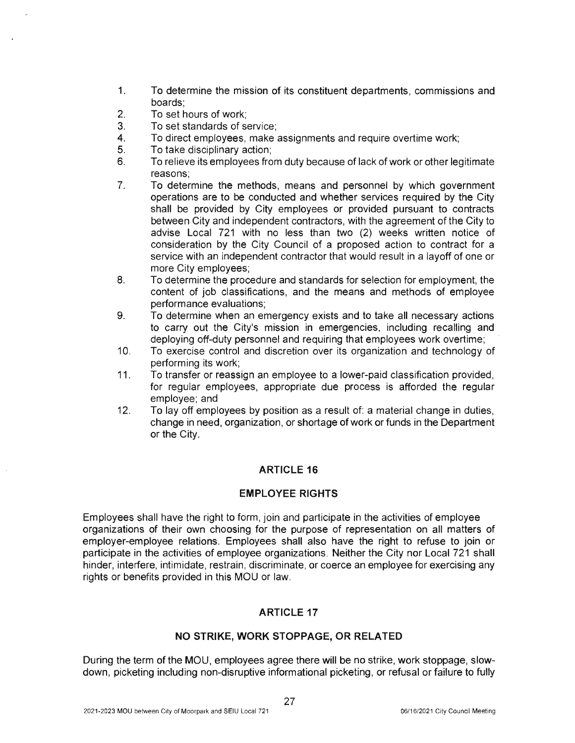- 1. To determine the mission of its constituent departments, commissions and boards;
- 2. To set hours of work;
- 3. To set standards of service;
- 4. To direct employees, make assignments and require overtime work;
- 5. To take disciplinary action;
- 6. To relieve its employees from duty because of lack of work or other legitimate reasons;
- 7. To determine the methods, means and personnel by which government operations are to be conducted and whether services required by the City shall be provided by City employees or provided pursuant to contracts between City and independent contractors, with the agreement of the City to advise Local 721 with no less than two (2) weeks written notice of consideration by the City Council of a proposed action to contract for a service with an independent contractor that would result in a layoff of one or more City employees;
- 8. To determine the procedure and standards for selection for employment, the content of job classifications, and the means and methods of employee performance evaluations;
- 9. To determine when an emergency exists and to take all necessary actions to carry out the City's mission in emergencies, including recalling and deploying off-duty personnel and requiring that employees work overtime;
- 10. To exercise control and discretion over its organization and technology of performing its work;
- 11. To transfer or reassign an employee to a lower-paid classification provided, for regular employees, appropriate due process is afforded the regular employee; and
- 12. To lay off employees by position as a result of: a material change in duties, change in need, organization, or shortage of work or funds in the Department or the City.

# **ARTICLE 16**

## **EMPLOYEE RIGHTS**

Employees shall have the right to form , join and participate in the activities of employee organizations of their own choosing for the purpose of representation on all matters of employer-employee relations. Employees shall also have the right to refuse to join or participate in the activities of employee organizations. Neither the City nor Local 721 shall hinder, interfere, intimidate, restrain, discriminate, or coerce an employee for exercising any rights or benefits provided in this MOU or law.

# **ARTICLE 17**

## **NO STRIKE, WORK STOPPAGE, OR RELATED**

During the term of the MOU, employees agree there will be no strike, work stoppage, slowdown, picketing including non-disruptive informational picketing, or refusal or failure to fully